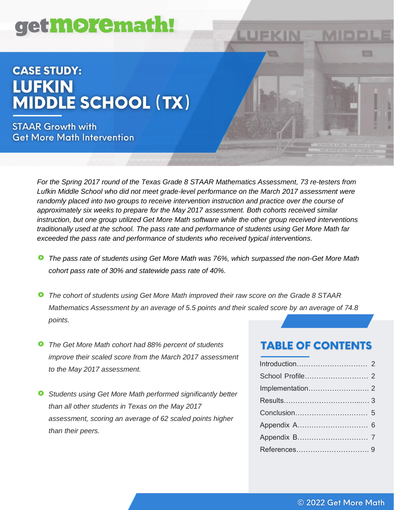# get**more**math!

# **CASE STUDY: LUFKIN MIDDLE SCHOOL (TX)**

**STAAR Growth with Get More Math Intervention** 

> *For the Spring 2017 round of the Texas Grade 8 STAAR Mathematics Assessment, 73 re-testers from Lufkin Middle School who did not meet grade-level performance on the March 2017 assessment were randomly placed into two groups to receive intervention instruction and practice over the course of approximately six weeks to prepare for the May 2017 assessment. Both cohorts received similar instruction, but one group utilized Get More Math software while the other group received interventions traditionally used at the school. The pass rate and performance of students using Get More Math far exceeded the pass rate and performance of students who received typical interventions.*

LUFKIN

- *The pass rate of students using Get More Math was 76%, which surpassed the non-Get More Math*  Θ *cohort pass rate of 30% and statewide pass rate of 40%.*
- *The cohort of students using Get More Math improved their raw score on the Grade 8 STAAR Mathematics Assessment by an average of 5.5 points and their scaled score by an average of 74.8 points.*
- *The Get More Math cohort had 88% percent of students improve their scaled score from the March 2017 assessment to the May 2017 assessment.*
- *Students using Get More Math performed significantly better than all other students in Texas on the May 2017 assessment, scoring an average of 62 scaled points higher than their peers.*

# **TABLE OF CONTENTS**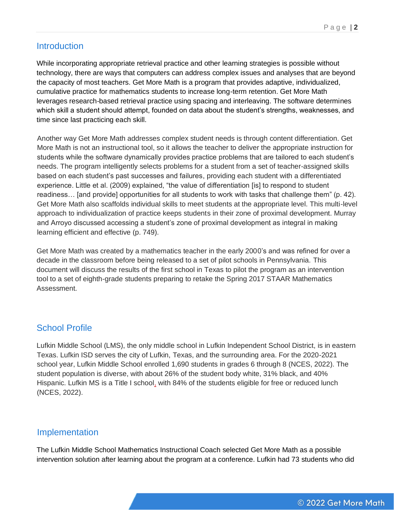# **Introduction**

While incorporating appropriate retrieval practice and other learning strategies is possible without technology, there are ways that computers can address complex issues and analyses that are beyond the capacity of most teachers. Get More Math is a program that provides adaptive, individualized, cumulative practice for mathematics students to increase long-term retention. Get More Math leverages research-based retrieval practice using spacing and interleaving. The software determines which skill a student should attempt, founded on data about the student's strengths, weaknesses, and time since last practicing each skill.

Another way Get More Math addresses complex student needs is through content differentiation. Get More Math is not an instructional tool, so it allows the teacher to deliver the appropriate instruction for students while the software dynamically provides practice problems that are tailored to each student's needs. The program intelligently selects problems for a student from a set of teacher-assigned skills based on each student's past successes and failures, providing each student with a differentiated experience. Little et al. (2009) explained, "the value of differentiation [is] to respond to student readiness… [and provide] opportunities for all students to work with tasks that challenge them" (p. 42). Get More Math also scaffolds individual skills to meet students at the appropriate level. This multi-level approach to individualization of practice keeps students in their zone of proximal development. Murray and Arroyo discussed accessing a student's zone of proximal development as integral in making learning efficient and effective (p. 749).

Get More Math was created by a mathematics teacher in the early 2000's and was refined for over a decade in the classroom before being released to a set of pilot schools in Pennsylvania. This document will discuss the results of the first school in Texas to pilot the program as an intervention tool to a set of eighth-grade students preparing to retake the Spring 2017 STAAR Mathematics Assessment.

# School Profile

Lufkin Middle School (LMS), the only middle school in Lufkin Independent School District, is in eastern Texas. Lufkin ISD serves the city of Lufkin, Texas, and the surrounding area. For the 2020-2021 school year, Lufkin Middle School enrolled 1,690 students in grades 6 through 8 (NCES, 2022). The student population is diverse, with about 26% of the student body white, 31% black, and 40% Hispanic. Lufkin MS is a Title I school, with 84% of the students eligible for free or reduced lunch (NCES, 2022).

# Implementation

The Lufkin Middle School Mathematics Instructional Coach selected Get More Math as a possible intervention solution after learning about the program at a conference. Lufkin had 73 students who did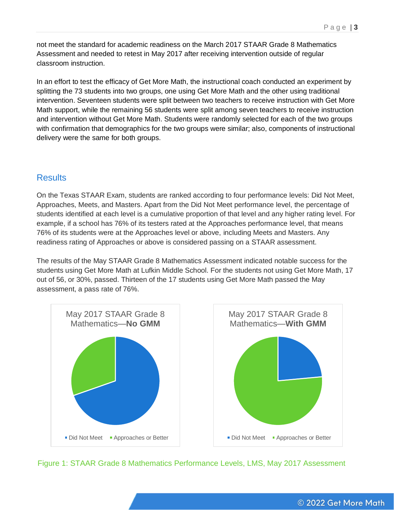not meet the standard for academic readiness on the March 2017 STAAR Grade 8 Mathematics Assessment and needed to retest in May 2017 after receiving intervention outside of regular classroom instruction.

In an effort to test the efficacy of Get More Math, the instructional coach conducted an experiment by splitting the 73 students into two groups, one using Get More Math and the other using traditional intervention. Seventeen students were split between two teachers to receive instruction with Get More Math support, while the remaining 56 students were split among seven teachers to receive instruction and intervention without Get More Math. Students were randomly selected for each of the two groups with confirmation that demographics for the two groups were similar; also, components of instructional delivery were the same for both groups.

#### **Results**

On the Texas STAAR Exam, students are ranked according to four performance levels: Did Not Meet, Approaches, Meets, and Masters. Apart from the Did Not Meet performance level, the percentage of students identified at each level is a cumulative proportion of that level and any higher rating level. For example, if a school has 76% of its testers rated at the Approaches performance level, that means 76% of its students were at the Approaches level or above, including Meets and Masters. Any readiness rating of Approaches or above is considered passing on a STAAR assessment.

The results of the May STAAR Grade 8 Mathematics Assessment indicated notable success for the students using Get More Math at Lufkin Middle School. For the students not using Get More Math, 17 out of 56, or 30%, passed. Thirteen of the 17 students using Get More Math passed the May assessment, a pass rate of 76%.



Figure 1: STAAR Grade 8 Mathematics Performance Levels, LMS, May 2017 Assessment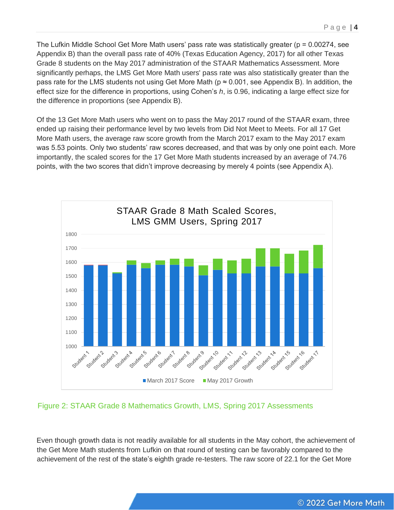The Lufkin Middle School Get More Math users' pass rate was statistically greater ( $p = 0.00274$ , see Appendix B) than the overall pass rate of 40% (Texas Education Agency, 2017) for all other Texas Grade 8 students on the May 2017 administration of the STAAR Mathematics Assessment. More significantly perhaps, the LMS Get More Math users' pass rate was also statistically greater than the pass rate for the LMS students not using Get More Math ( $p \approx 0.001$ , see Appendix B). In addition, the effect size for the difference in proportions, using Cohen's *h*, is 0.96, indicating a large effect size for the difference in proportions (see Appendix B).

Of the 13 Get More Math users who went on to pass the May 2017 round of the STAAR exam, three ended up raising their performance level by two levels from Did Not Meet to Meets. For all 17 Get More Math users, the average raw score growth from the March 2017 exam to the May 2017 exam was 5.53 points. Only two students' raw scores decreased, and that was by only one point each. More importantly, the scaled scores for the 17 Get More Math students increased by an average of 74.76 points, with the two scores that didn't improve decreasing by merely 4 points (see Appendix A).



#### Figure 2: STAAR Grade 8 Mathematics Growth, LMS, Spring 2017 Assessments

Even though growth data is not readily available for all students in the May cohort, the achievement of the Get More Math students from Lufkin on that round of testing can be favorably compared to the achievement of the rest of the state's eighth grade re-testers. The raw score of 22.1 for the Get More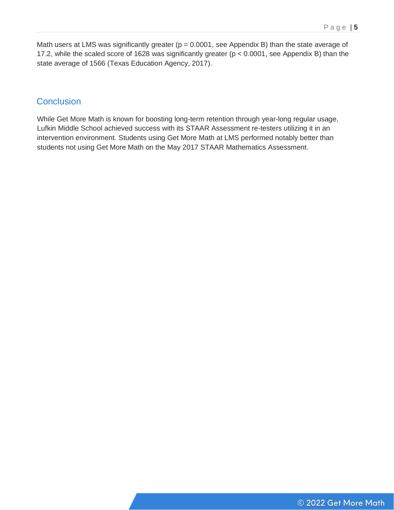Math users at LMS was significantly greater ( $p = 0.0001$ , see Appendix B) than the state average of 17.2, while the scaled score of 1628 was significantly greater (p < 0.0001, see Appendix B) than the state average of 1566 (Texas Education Agency, 2017).

#### **Conclusion**

While Get More Math is known for boosting long-term retention through year-long regular usage, Lufkin Middle School achieved success with its STAAR Assessment re-testers utilizing it in an intervention environment. Students using Get More Math at LMS performed notably better than students not using Get More Math on the May 2017 STAAR Mathematics Assessment.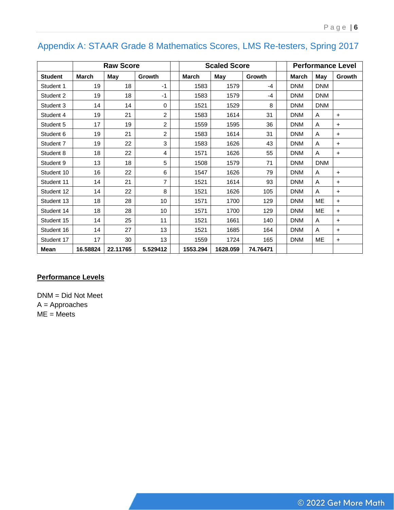# Appendix A: STAAR Grade 8 Mathematics Scores, LMS Re-testers, Spring 2017

|                | <b>Raw Score</b> |          |                 | <b>Scaled Score</b> |          |          |  | <b>Performance Level</b> |            |           |
|----------------|------------------|----------|-----------------|---------------------|----------|----------|--|--------------------------|------------|-----------|
| <b>Student</b> | <b>March</b>     | May      | Growth          | <b>March</b>        | May      | Growth   |  | <b>March</b>             | May        | Growth    |
| Student 1      | 19               | 18       | $-1$            | 1583                | 1579     | $-4$     |  | <b>DNM</b>               | <b>DNM</b> |           |
| Student 2      | 19               | 18       | $-1$            | 1583                | 1579     | $-4$     |  | <b>DNM</b>               | <b>DNM</b> |           |
| Student 3      | 14               | 14       | 0               | 1521                | 1529     | 8        |  | <b>DNM</b>               | <b>DNM</b> |           |
| Student 4      | 19               | 21       | 2               | 1583                | 1614     | 31       |  | <b>DNM</b>               | A          | $\ddot{}$ |
| Student 5      | 17               | 19       | 2               | 1559                | 1595     | 36       |  | <b>DNM</b>               | A          | $\ddot{}$ |
| Student 6      | 19               | 21       | 2               | 1583                | 1614     | 31       |  | <b>DNM</b>               | Α          | $\ddot{}$ |
| Student 7      | 19               | 22       | 3               | 1583                | 1626     | 43       |  | <b>DNM</b>               | A          | $\ddot{}$ |
| Student 8      | 18               | 22       | 4               | 1571                | 1626     | 55       |  | <b>DNM</b>               | A          | $\ddot{}$ |
| Student 9      | 13               | 18       | 5               | 1508                | 1579     | 71       |  | <b>DNM</b>               | <b>DNM</b> |           |
| Student 10     | 16               | 22       | 6               | 1547                | 1626     | 79       |  | <b>DNM</b>               | A          | $\ddot{}$ |
| Student 11     | 14               | 21       | 7               | 1521                | 1614     | 93       |  | <b>DNM</b>               | A          | $\ddot{}$ |
| Student 12     | 14               | 22       | 8               | 1521                | 1626     | 105      |  | <b>DNM</b>               | A          | $\ddot{}$ |
| Student 13     | 18               | 28       | 10              | 1571                | 1700     | 129      |  | <b>DNM</b>               | ME         | $\ddot{}$ |
| Student 14     | 18               | 28       | 10 <sup>1</sup> | 1571                | 1700     | 129      |  | <b>DNM</b>               | ME         | $\ddot{}$ |
| Student 15     | 14               | 25       | 11              | 1521                | 1661     | 140      |  | <b>DNM</b>               | Α          | $\ddot{}$ |
| Student 16     | 14               | 27       | 13              | 1521                | 1685     | 164      |  | <b>DNM</b>               | A          | $\ddot{}$ |
| Student 17     | 17               | 30       | 13              | 1559                | 1724     | 165      |  | <b>DNM</b>               | ME         | $\ddot{}$ |
| Mean           | 16.58824         | 22.11765 | 5.529412        | 1553.294            | 1628.059 | 74.76471 |  |                          |            |           |

#### **Performance Levels**

DNM = Did Not Meet A = Approaches ME = Meets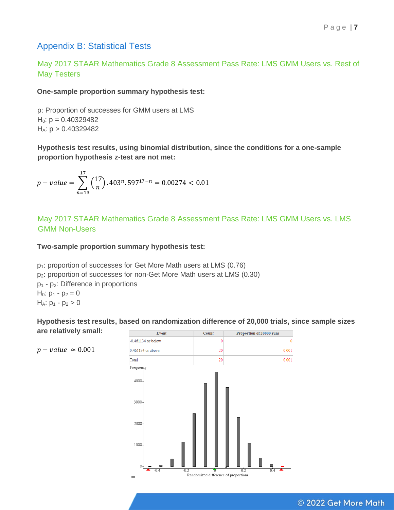# Appendix B: Statistical Tests

May 2017 STAAR Mathematics Grade 8 Assessment Pass Rate: LMS GMM Users vs. Rest of May Testers

**One-sample proportion summary hypothesis test:**

p: Proportion of successes for GMM users at LMS  $H<sub>0</sub>: p = 0.40329482$  $H_A: p > 0.40329482$ 

**Hypothesis test results, using binomial distribution, since the conditions for a one-sample proportion hypothesis z-test are not met:**

$$
p-value = \sum_{n=13}^{17} {17 \choose n}.403^n.597^{17-n} = 0.00274 < 0.01
$$

May 2017 STAAR Mathematics Grade 8 Assessment Pass Rate: LMS GMM Users vs. LMS GMM Non-Users

**Two-sample proportion summary hypothesis test:**

p1: proportion of successes for Get More Math users at LMS (0.76) p2: proportion of successes for non-Get More Math users at LMS (0.30) p<sup>1</sup> - p2: Difference in proportions  $H_0: p_1 - p_2 = 0$  $H_A: p_1 - p_2 > 0$ 

**Hypothesis test results, based on randomization difference of 20,000 trials, since sample sizes are relatively small:**



#### © 2022 Get More Math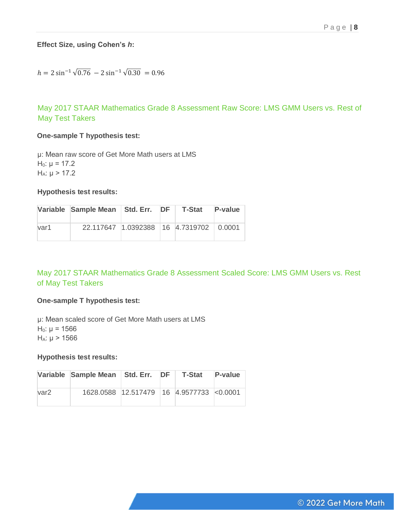#### **Effect Size, using Cohen's** *h***:**

$$
h = 2\sin^{-1}\sqrt{0.76} - 2\sin^{-1}\sqrt{0.30} = 0.96
$$

May 2017 STAAR Mathematics Grade 8 Assessment Raw Score: LMS GMM Users vs. Rest of May Test Takers

#### **One-sample T hypothesis test:**

μ: Mean raw score of Get More Math users at LMS  $H_0: μ = 17.2$  $H_A: μ > 17.2$ 

#### **Hypothesis test results:**

|      | Variable Sample Mean Std. Err. DF T-Stat |  | P-value |
|------|------------------------------------------|--|---------|
| var1 | 22.117647 1.0392388 16 4.7319702 0.0001  |  |         |

#### May 2017 STAAR Mathematics Grade 8 Assessment Scaled Score: LMS GMM Users vs. Rest of May Test Takers

#### **One-sample T hypothesis test:**

μ: Mean scaled score of Get More Math users at LMS  $H<sub>0</sub>: μ = 1566$  $H_A: μ > 1566$ 

#### **Hypothesis test results:**

|                  | Variable Sample Mean   Std. Err.   DF    |  | T-Stat | P-value |
|------------------|------------------------------------------|--|--------|---------|
| var <sub>2</sub> | 1628.0588 12.517479 16 4.9577733 <0.0001 |  |        |         |